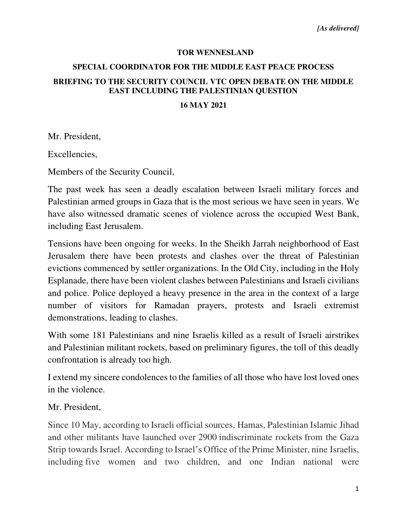## **TOR WENNESLAND**

## **SPECIAL COORDINATOR FOR THE MIDDLE EAST PEACE PROCESS BRIEFING TO THE SECURITY COUNCIL VTC OPEN DEBATE ON THE MIDDLE EAST INCLUDING THE PALESTINIAN QUESTION**

## **16 MAY 2021**

Mr. President,

Excellencies,

Members of the Security Council,

The past week has seen a deadly escalation between Israeli military forces and Palestinian armed groups in Gaza that is the most serious we have seen in years. We have also witnessed dramatic scenes of violence across the occupied West Bank, including East Jerusalem.

Tensions have been ongoing for weeks. In the Sheikh Jarrah neighborhood of East Jerusalem there have been protests and clashes over the threat of Palestinian evictions commenced by settler organizations. In the Old City, including in the Holy Esplanade, there have been violent clashes between Palestinians and Israeli civilians and police. Police deployed a heavy presence in the area in the context of a large number of visitors for Ramadan prayers, protests and Israeli extremist demonstrations, leading to clashes.

With some 181 Palestinians and nine Israelis killed as a result of Israeli airstrikes and Palestinian militant rockets, based on preliminary figures, the toll of this deadly confrontation is already too high.

I extend my sincere condolences to the families of all those who have lost loved ones in the violence.

Mr. President,

Since 10 May, according to Israeli official sources, Hamas, Palestinian Islamic Jihad and other militants have launched over 2900 indiscriminate rockets from the Gaza Strip towards Israel. According to Israel's Office of the Prime Minister, nine Israelis, including five women and two children, and one Indian national were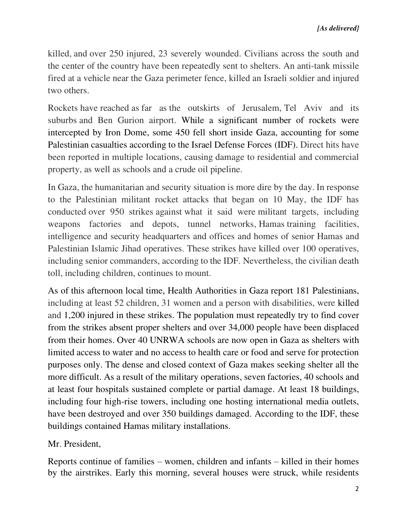killed, and over 250 injured, 23 severely wounded. Civilians across the south and the center of the country have been repeatedly sent to shelters. An anti-tank missile fired at a vehicle near the Gaza perimeter fence, killed an Israeli soldier and injured two others.

Rockets have reached as far as the outskirts of Jerusalem, Tel Aviv and its suburbs and Ben Gurion airport. While a significant number of rockets were intercepted by Iron Dome, some 450 fell short inside Gaza, accounting for some Palestinian casualties according to the Israel Defense Forces (IDF). Direct hits have been reported in multiple locations, causing damage to residential and commercial property, as well as schools and a crude oil pipeline.

In Gaza, the humanitarian and security situation is more dire by the day. In response to the Palestinian militant rocket attacks that began on 10 May, the IDF has conducted over 950 strikes against what it said were militant targets, including weapons factories and depots, tunnel networks, Hamas training facilities, intelligence and security headquarters and offices and homes of senior Hamas and Palestinian Islamic Jihad operatives. These strikes have killed over 100 operatives, including senior commanders, according to the IDF. Nevertheless, the civilian death toll, including children, continues to mount.

As of this afternoon local time, Health Authorities in Gaza report 181 Palestinians, including at least 52 children, 31 women and a person with disabilities, were killed and 1,200 injured in these strikes. The population must repeatedly try to find cover from the strikes absent proper shelters and over 34,000 people have been displaced from their homes. Over 40 UNRWA schools are now open in Gaza as shelters with limited access to water and no access to health care or food and serve for protection purposes only. The dense and closed context of Gaza makes seeking shelter all the more difficult. As a result of the military operations, seven factories, 40 schools and at least four hospitals sustained complete or partial damage. At least 18 buildings, including four high-rise towers, including one hosting international media outlets, have been destroyed and over 350 buildings damaged. According to the IDF, these buildings contained Hamas military installations.

Mr. President,

Reports continue of families – women, children and infants – killed in their homes by the airstrikes. Early this morning, several houses were struck, while residents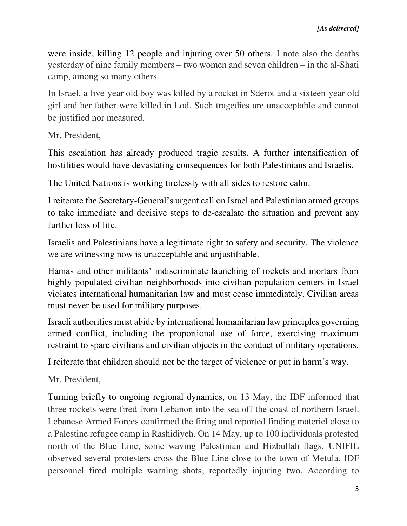were inside, killing 12 people and injuring over 50 others. I note also the deaths yesterday of nine family members – two women and seven children – in the al-Shati camp, among so many others.

In Israel, a five-year old boy was killed by a rocket in Sderot and a sixteen-year old girl and her father were killed in Lod. Such tragedies are unacceptable and cannot be justified nor measured.

Mr. President,

This escalation has already produced tragic results. A further intensification of hostilities would have devastating consequences for both Palestinians and Israelis.

The United Nations is working tirelessly with all sides to restore calm.

I reiterate the Secretary-General's urgent call on Israel and Palestinian armed groups to take immediate and decisive steps to de-escalate the situation and prevent any further loss of life.

Israelis and Palestinians have a legitimate right to safety and security. The violence we are witnessing now is unacceptable and unjustifiable.

Hamas and other militants' indiscriminate launching of rockets and mortars from highly populated civilian neighborhoods into civilian population centers in Israel violates international humanitarian law and must cease immediately. Civilian areas must never be used for military purposes.

Israeli authorities must abide by international humanitarian law principles governing armed conflict, including the proportional use of force, exercising maximum restraint to spare civilians and civilian objects in the conduct of military operations.

I reiterate that children should not be the target of violence or put in harm's way.

Mr. President,

Turning briefly to ongoing regional dynamics, on 13 May, the IDF informed that three rockets were fired from Lebanon into the sea off the coast of northern Israel. Lebanese Armed Forces confirmed the firing and reported finding materiel close to a Palestine refugee camp in Rashidiyeh. On 14 May, up to 100 individuals protested north of the Blue Line, some waving Palestinian and Hizbullah flags. UNIFIL observed several protesters cross the Blue Line close to the town of Metula. IDF personnel fired multiple warning shots, reportedly injuring two. According to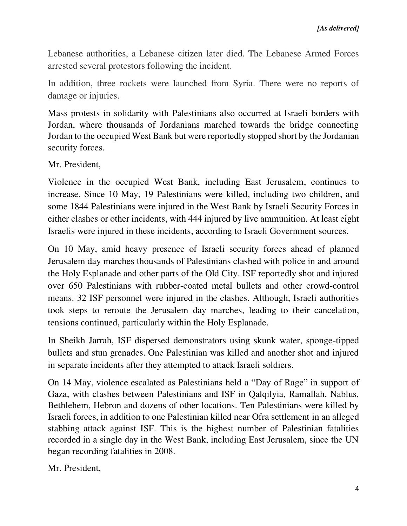Lebanese authorities, a Lebanese citizen later died. The Lebanese Armed Forces arrested several protestors following the incident.

In addition, three rockets were launched from Syria. There were no reports of damage or injuries.

Mass protests in solidarity with Palestinians also occurred at Israeli borders with Jordan, where thousands of Jordanians marched towards the bridge connecting Jordan to the occupied West Bank but were reportedly stopped short by the Jordanian security forces.

Mr. President,

Violence in the occupied West Bank, including East Jerusalem, continues to increase. Since 10 May, 19 Palestinians were killed, including two children, and some 1844 Palestinians were injured in the West Bank by Israeli Security Forces in either clashes or other incidents, with 444 injured by live ammunition. At least eight Israelis were injured in these incidents, according to Israeli Government sources.

On 10 May, amid heavy presence of Israeli security forces ahead of planned Jerusalem day marches thousands of Palestinians clashed with police in and around the Holy Esplanade and other parts of the Old City. ISF reportedly shot and injured over 650 Palestinians with rubber-coated metal bullets and other crowd-control means. 32 ISF personnel were injured in the clashes. Although, Israeli authorities took steps to reroute the Jerusalem day marches, leading to their cancelation, tensions continued, particularly within the Holy Esplanade.

In Sheikh Jarrah, ISF dispersed demonstrators using skunk water, sponge-tipped bullets and stun grenades. One Palestinian was killed and another shot and injured in separate incidents after they attempted to attack Israeli soldiers.

On 14 May, violence escalated as Palestinians held a "Day of Rage" in support of Gaza, with clashes between Palestinians and ISF in Qalqilyia, Ramallah, Nablus, Bethlehem, Hebron and dozens of other locations. Ten Palestinians were killed by Israeli forces, in addition to one Palestinian killed near Ofra settlement in an alleged stabbing attack against ISF. This is the highest number of Palestinian fatalities recorded in a single day in the West Bank, including East Jerusalem, since the UN began recording fatalities in 2008.

Mr. President,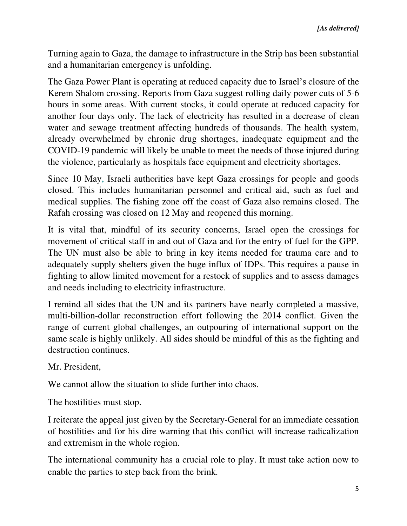Turning again to Gaza, the damage to infrastructure in the Strip has been substantial and a humanitarian emergency is unfolding.

The Gaza Power Plant is operating at reduced capacity due to Israel's closure of the Kerem Shalom crossing. Reports from Gaza suggest rolling daily power cuts of 5-6 hours in some areas. With current stocks, it could operate at reduced capacity for another four days only. The lack of electricity has resulted in a decrease of clean water and sewage treatment affecting hundreds of thousands. The health system, already overwhelmed by chronic drug shortages, inadequate equipment and the COVID-19 pandemic will likely be unable to meet the needs of those injured during the violence, particularly as hospitals face equipment and electricity shortages.

Since 10 May, Israeli authorities have kept Gaza crossings for people and goods closed. This includes humanitarian personnel and critical aid, such as fuel and medical supplies. The fishing zone off the coast of Gaza also remains closed. The Rafah crossing was closed on 12 May and reopened this morning.

It is vital that, mindful of its security concerns, Israel open the crossings for movement of critical staff in and out of Gaza and for the entry of fuel for the GPP. The UN must also be able to bring in key items needed for trauma care and to adequately supply shelters given the huge influx of IDPs. This requires a pause in fighting to allow limited movement for a restock of supplies and to assess damages and needs including to electricity infrastructure.

I remind all sides that the UN and its partners have nearly completed a massive, multi-billion-dollar reconstruction effort following the 2014 conflict. Given the range of current global challenges, an outpouring of international support on the same scale is highly unlikely. All sides should be mindful of this as the fighting and destruction continues.

Mr. President,

We cannot allow the situation to slide further into chaos.

The hostilities must stop.

I reiterate the appeal just given by the Secretary-General for an immediate cessation of hostilities and for his dire warning that this conflict will increase radicalization and extremism in the whole region.

The international community has a crucial role to play. It must take action now to enable the parties to step back from the brink.